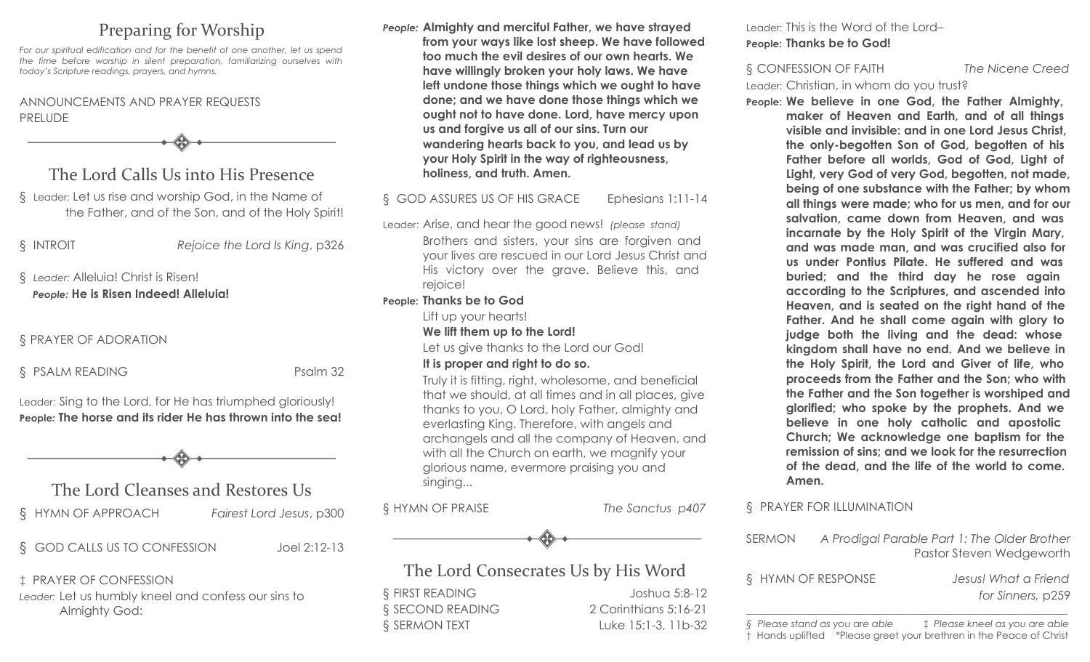# Preparing for Worship

*For our spiritual edification and for the benefit of one another, let us spend the time before worship in silent preparation, familiarizing ourselves with today's Scripture readings, prayers, and hymns.*

### ANNOUNCEMENTS AND PRAYER REQUESTS PRELUDE

The Lord Calls Us into His Presence

§ Leader: Let us rise and worship God, in the Name of the Father, and of the Son, and of the Holy Spirit!

§ INTROIT *Rejoice the Lord Is King*, p326

### § *Leader:* Alleluia! Christ is Risen! *People:* **He is Risen Indeed! Alleluia!**

### § PRAYER OF ADORATION

§ PSALM READING Psalm 32

Leader: Sing to the Lord, for He has triumphed gloriously! **People***:* **The horse and its rider He has thrown into the sea!**



The Lord Cleanses and Restores Us

§ HYMN OF APPROACH *Fairest Lord Jesus*, p300

§ GOD CALLS US TO CONFESSION Joel 2:12-13

‡ PRAYER OF CONFESSION *Leader:* Let us humbly kneel and confess our sins to Almighty God:

*People:* **Almighty and merciful Father, we have strayed from your ways like lost sheep. We have followed too much the evil desires of our own hearts. We have willingly broken your holy laws. We have left undone those things which we ought to have done; and we have done those things which we ought not to have done. Lord, have mercy upon us and forgive us all of our sins. Turn our wandering hearts back to you, and lead us by your Holy Spirit in the way of righteousness, holiness, and truth. Amen.**

#### § GOD ASSURES US OF HIS GRACE Ephesians 1:11-14

Leader: Arise, and hear the good news! *(please stand)*  Brothers and sisters, your sins are forgiven and your lives are rescued in our Lord Jesus Christ and His victory over the grave. Believe this, and rejoice!

#### **People: Thanks be to God**

Lift up your hearts!

**We lift them up to the Lord!** 

Let us give thanks to the Lord our God!

#### **It is proper and right to do so.**

Truly it is fitting, right, wholesome, and beneficial that we should, at all times and in all places, give thanks to you, O Lord, holy Father, almighty and everlasting King. Therefore, with angels and archangels and all the company of Heaven, and with all the Church on earth, we magnify your glorious name, evermore praising you and singing...

§ HYMN OF PRAISE *The Sanctus p407*



# The Lord Consecrates Us by His Word

§ FIRST READING Joshua 5:8-12 § SECOND READING 2 Corinthians 5:16-21 § SERMON TEXT Luke 15:1-3, 11b-32 Leader: This is the Word of the Lord– **People: Thanks be to God!**

§ CONFESSION OF FAITH *The Nicene Creed* Leader: Christian, in whom do you trust?

**People: We believe in one God, the Father Almighty, maker of Heaven and Earth, and of all things visible and invisible: and in one Lord Jesus Christ, the only-begotten Son of God, begotten of his Father before all worlds, God of God, Light of Light, very God of very God, begotten, not made, being of one substance with the Father; by whom all things were made; who for us men, and for our salvation, came down from Heaven, and was incarnate by the Holy Spirit of the Virgin Mary, and was made man, and was crucified also for us under Pontius Pilate. He suffered and was buried; and the third day he rose again according to the Scriptures, and ascended into Heaven, and is seated on the right hand of the Father. And he shall come again with glory to judge both the living and the dead: whose kingdom shall have no end. And we believe in the Holy Spirit, the Lord and Giver of life, who proceeds from the Father and the Son; who with the Father and the Son together is worshiped and glorified; who spoke by the prophets. And we believe in one holy catholic and apostolic Church; We acknowledge one baptism for the remission of sins; and we look for the resurrection of the dead, and the life of the world to come. Amen.**

### § PRAYER FOR ILLUMINATION

SERMON *A Prodigal Parable Part 1: The Older Brother* Pastor Steven Wedgeworth

§ HYMN OF RESPONSE *Jesus! What a Friend*

*for Sinners,* p259

*\_\_\_\_\_\_\_\_\_\_\_\_\_\_\_\_\_\_\_\_\_\_\_\_\_\_\_\_\_\_\_\_\_\_\_\_\_\_\_\_\_\_\_\_\_\_\_\_\_\_\_\_\_\_\_\_\_\_\_\_\_\_\_\_\_\_ § Please stand as you are able* ‡ *Please kneel as you are able* † Hands uplifted \*Please greet your brethren in the Peace of Christ